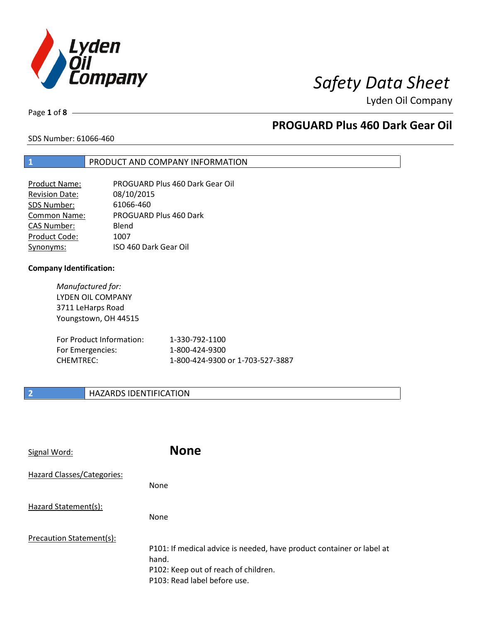

# *Safety Data Sheet*

Lyden Oil Company

Page **1** of **8**

# **PROGUARD Plus 460 Dark Gear Oil**

SDS Number: 61066-460

## **1** PRODUCT AND COMPANY INFORMATION

| Product Name:         | PROGUARD Plus 460 Dark Gear Oil |
|-----------------------|---------------------------------|
| <b>Revision Date:</b> | 08/10/2015                      |
| SDS Number:           | 61066-460                       |
| <b>Common Name:</b>   | PROGUARD Plus 460 Dark          |
| <b>CAS Number:</b>    | Blend                           |
| Product Code:         | 1007                            |
| Synonyms:             | ISO 460 Dark Gear Oil           |

## **Company Identification:**

*Manufactured for:*  LYDEN OIL COMPANY 3711 LeHarps Road Youngstown, OH 44515

| For Product Information: | 1-330-792-1100                   |
|--------------------------|----------------------------------|
| For Emergencies:         | 1-800-424-9300                   |
| CHEMTREC:                | 1-800-424-9300 or 1-703-527-3887 |

## **2 HAZARDS IDENTIFICATION**

| Signal Word:               | <b>None</b>                                                                                                                                            |
|----------------------------|--------------------------------------------------------------------------------------------------------------------------------------------------------|
| Hazard Classes/Categories: | None                                                                                                                                                   |
| Hazard Statement(s):       | None                                                                                                                                                   |
| Precaution Statement(s):   | P101: If medical advice is needed, have product container or label at<br>hand.<br>P102: Keep out of reach of children.<br>P103: Read label before use. |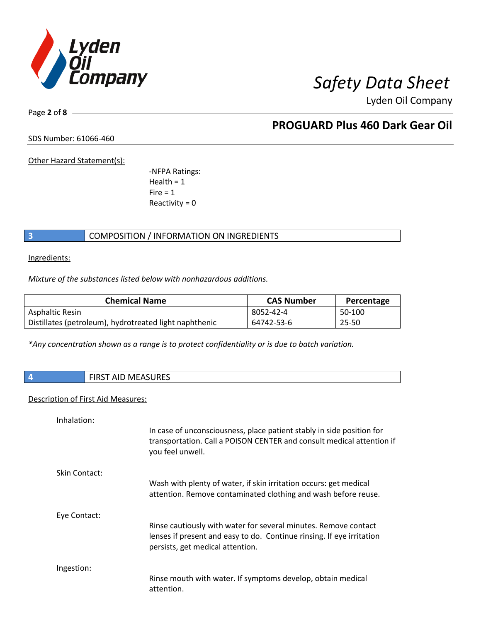

Page **2** of **8**

# **PROGUARD Plus 460 Dark Gear Oil**

SDS Number: 61066-460

Other Hazard Statement(s):

-NFPA Ratings:  $Health = 1$  $Fire = 1$ Reactivity  $= 0$ 

## **3** COMPOSITION / INFORMATION ON INGREDIENTS

Ingredients:

*Mixture of the substances listed below with nonhazardous additions.*

| <b>Chemical Name</b>                                   | <b>CAS Number</b> | Percentage |
|--------------------------------------------------------|-------------------|------------|
| Asphaltic Resin                                        | 8052-42-4         | 50-100     |
| Distillates (petroleum), hydrotreated light naphthenic | 64742-53-6        | 25-50      |

*\*Any concentration shown as a range is to protect confidentiality or is due to batch variation.*

|  | <b>FIRST AID MEASURES</b><br>___ |
|--|----------------------------------|
|--|----------------------------------|

## Description of First Aid Measures:

Inhalation:

|               | In case of unconsciousness, place patient stably in side position for<br>transportation. Call a POISON CENTER and consult medical attention if<br>you feel unwell.           |
|---------------|------------------------------------------------------------------------------------------------------------------------------------------------------------------------------|
| Skin Contact: | Wash with plenty of water, if skin irritation occurs: get medical<br>attention. Remove contaminated clothing and wash before reuse.                                          |
| Eye Contact:  | Rinse cautiously with water for several minutes. Remove contact<br>lenses if present and easy to do. Continue rinsing. If eye irritation<br>persists, get medical attention. |
| Ingestion:    | Rinse mouth with water. If symptoms develop, obtain medical<br>attention.                                                                                                    |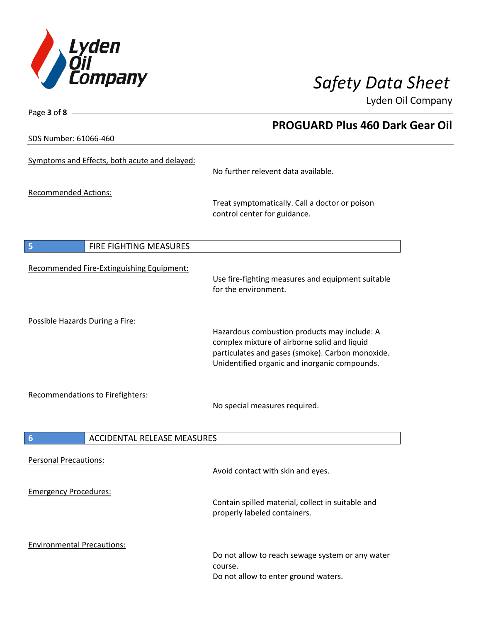

**PROGUARD Plus 460 Dark Gear Oil**

Lyden Oil Company

SDS Number: 61066-460

Page **3** of **8**

| Symptoms and Effects, both acute and delayed: | No further relevent data available.                                                                                                                                                               |
|-----------------------------------------------|---------------------------------------------------------------------------------------------------------------------------------------------------------------------------------------------------|
| <b>Recommended Actions:</b>                   | Treat symptomatically. Call a doctor or poison<br>control center for guidance.                                                                                                                    |
| 5<br>FIRE FIGHTING MEASURES                   |                                                                                                                                                                                                   |
| Recommended Fire-Extinguishing Equipment:     | Use fire-fighting measures and equipment suitable<br>for the environment.                                                                                                                         |
| Possible Hazards During a Fire:               | Hazardous combustion products may include: A<br>complex mixture of airborne solid and liquid<br>particulates and gases (smoke). Carbon monoxide.<br>Unidentified organic and inorganic compounds. |
| Recommendations to Firefighters:              | No special measures required.                                                                                                                                                                     |
| <b>ACCIDENTAL RELEASE MEASURES</b><br>6       |                                                                                                                                                                                                   |
| <b>Personal Precautions:</b>                  | Avoid contact with skin and eyes.                                                                                                                                                                 |
| <b>Emergency Procedures:</b>                  | Contain spilled material, collect in suitable and<br>properly labeled containers.                                                                                                                 |
| <b>Environmental Precautions:</b>             | Do not allow to reach sewage system or any water<br>course.<br>Do not allow to enter ground waters.                                                                                               |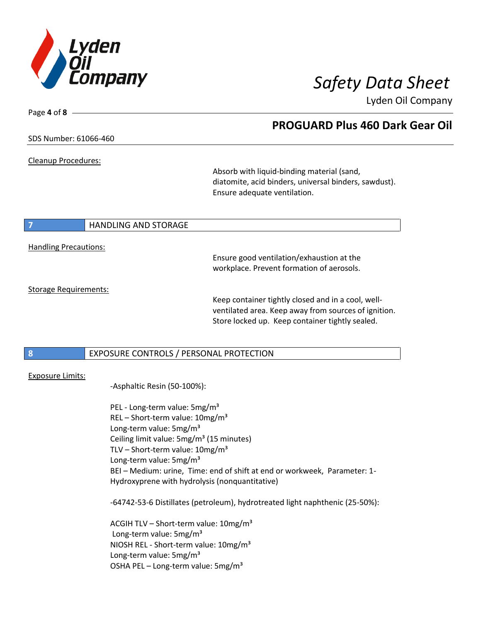

Page **4** of **8**

## **PROGUARD Plus 460 Dark Gear Oil**

## SDS Number: 61066-460

Cleanup Procedures:

Absorb with liquid-binding material (sand, diatomite, acid binders, universal binders, sawdust). Ensure adequate ventilation.

# **7 HANDLING AND STORAGE**

Handling Precautions:

Ensure good ventilation/exhaustion at the workplace. Prevent formation of aerosols.

Storage Requirements:

Keep container tightly closed and in a cool, wellventilated area. Keep away from sources of ignition. Store locked up. Keep container tightly sealed.

## **8** EXPOSURE CONTROLS / PERSONAL PROTECTION

## Exposure Limits:

-Asphaltic Resin (50-100%):

PEL - Long-term value: 5mg/m<sup>3</sup> REL – Short-term value:  $10mg/m<sup>3</sup>$ Long-term value: 5mg/m<sup>3</sup> Ceiling limit value: 5mg/m<sup>3</sup> (15 minutes) TLV – Short-term value:  $10mg/m^3$ Long-term value: 5mg/m<sup>3</sup> BEI – Medium: urine, Time: end of shift at end or workweek, Parameter: 1- Hydroxyprene with hydrolysis (nonquantitative)

-64742-53-6 Distillates (petroleum), hydrotreated light naphthenic (25-50%):

ACGIH TLV – Short-term value:  $10\,\text{mg/m}^3$ Long-term value: 5mg/m<sup>3</sup> NIOSH REL - Short-term value: 10mg/m<sup>3</sup> Long-term value: 5mg/m<sup>3</sup> OSHA PEL – Long-term value: 5mg/m<sup>3</sup>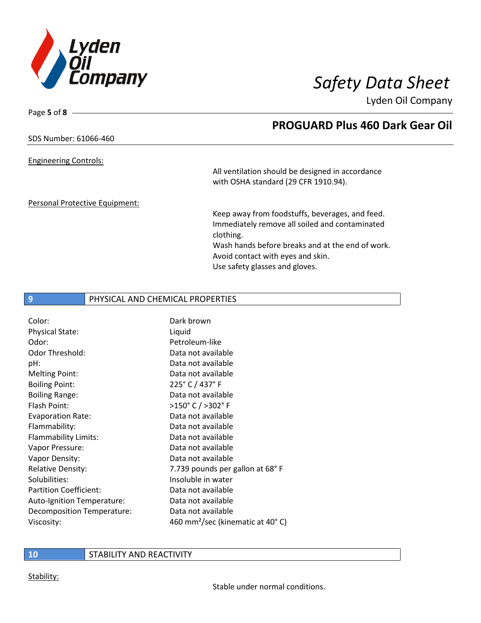

**PROGUARD Plus 460 Dark Gear Oil**

Lyden Oil Company

SDS Number: 61066-460

Engineering Controls:

Page **5** of **8**

All ventilation should be designed in accordance with OSHA standard (29 CFR 1910.94).

Personal Protective Equipment:

Keep away from foodstuffs, beverages, and feed. Immediately remove all soiled and contaminated clothing. Wash hands before breaks and at the end of work.

Avoid contact with eyes and skin. Use safety glasses and gloves.

## **9** PHYSICAL AND CHEMICAL PROPERTIES

| Dark brown                                   |
|----------------------------------------------|
| Liquid                                       |
| Petroleum-like                               |
| Data not available                           |
| Data not available                           |
| Data not available                           |
| 225° C / 437° F                              |
| Data not available                           |
| >150°C/>302°F                                |
| Data not available                           |
| Data not available                           |
| Data not available                           |
| Data not available                           |
| Data not available                           |
| 7.739 pounds per gallon at 68°F              |
| Insoluble in water                           |
| Data not available                           |
| Data not available                           |
| Data not available                           |
| 460 mm <sup>2</sup> /sec (kinematic at 40°C) |
|                                              |

**10** STABILITY AND REACTIVITY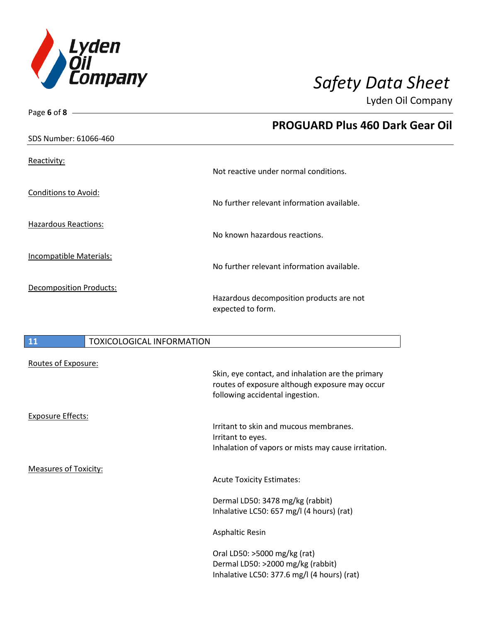

| Page 6 of 8 $-$                |                                                               |
|--------------------------------|---------------------------------------------------------------|
|                                | <b>PROGUARD Plus 460 Dark Gear Oil</b>                        |
| SDS Number: 61066-460          |                                                               |
| Reactivity:                    | Not reactive under normal conditions.                         |
| <b>Conditions to Avoid:</b>    | No further relevant information available.                    |
| <b>Hazardous Reactions:</b>    | No known hazardous reactions.                                 |
| <b>Incompatible Materials:</b> | No further relevant information available.                    |
| <b>Decomposition Products:</b> | Hazardous decomposition products are not<br>expected to form. |

## **11** TOXICOLOGICAL INFORMATION

| Routes of Exposure:          |                                                                                                                                        |
|------------------------------|----------------------------------------------------------------------------------------------------------------------------------------|
|                              | Skin, eye contact, and inhalation are the primary<br>routes of exposure although exposure may occur<br>following accidental ingestion. |
| <b>Exposure Effects:</b>     |                                                                                                                                        |
|                              | Irritant to skin and mucous membranes.                                                                                                 |
|                              | Irritant to eyes.<br>Inhalation of vapors or mists may cause irritation.                                                               |
| <b>Measures of Toxicity:</b> |                                                                                                                                        |
|                              | <b>Acute Toxicity Estimates:</b>                                                                                                       |
|                              | Dermal LD50: 3478 mg/kg (rabbit)<br>Inhalative LC50: 657 mg/l (4 hours) (rat)                                                          |
|                              | <b>Asphaltic Resin</b>                                                                                                                 |
|                              | Oral LD50: >5000 mg/kg (rat)<br>Dermal LD50: >2000 mg/kg (rabbit)<br>Inhalative LC50: 377.6 mg/l (4 hours) (rat)                       |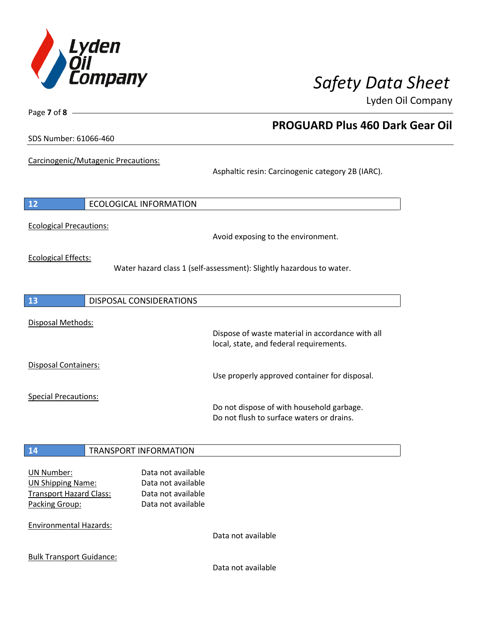

**PROGUARD Plus 460 Dark Gear Oil**

Lyden Oil Company

SDS Number: 61066-460

Page **7** of **8**

Carcinogenic/Mutagenic Precautions:

Asphaltic resin: Carcinogenic category 2B (IARC).

| <b>12</b>                                                                                                                          | <b>ECOLOGICAL INFORMATION</b>                                                        |                                                                                             |
|------------------------------------------------------------------------------------------------------------------------------------|--------------------------------------------------------------------------------------|---------------------------------------------------------------------------------------------|
| <b>Ecological Precautions:</b>                                                                                                     |                                                                                      | Avoid exposing to the environment.                                                          |
| <b>Ecological Effects:</b>                                                                                                         |                                                                                      | Water hazard class 1 (self-assessment): Slightly hazardous to water.                        |
| 13                                                                                                                                 | <b>DISPOSAL CONSIDERATIONS</b>                                                       |                                                                                             |
| Disposal Methods:                                                                                                                  |                                                                                      | Dispose of waste material in accordance with all<br>local, state, and federal requirements. |
| <b>Disposal Containers:</b>                                                                                                        |                                                                                      | Use properly approved container for disposal.                                               |
| <b>Special Precautions:</b>                                                                                                        |                                                                                      | Do not dispose of with household garbage.<br>Do not flush to surface waters or drains.      |
| 14                                                                                                                                 | <b>TRANSPORT INFORMATION</b>                                                         |                                                                                             |
| <b>UN Number:</b><br><b>UN Shipping Name:</b><br><b>Transport Hazard Class:</b><br>Packing Group:<br><b>Environmental Hazards:</b> | Data not available<br>Data not available<br>Data not available<br>Data not available |                                                                                             |
|                                                                                                                                    |                                                                                      | Data not available                                                                          |

Bulk Transport Guidance:

Data not available